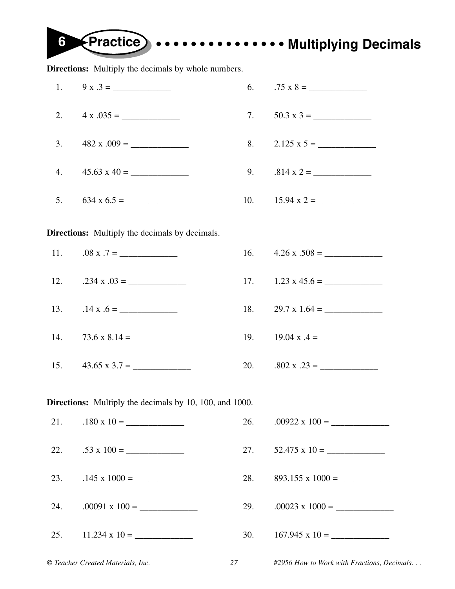**6 Practice • • • • • • • • • • • • • • • Multiplying Decimals**

**Directions:** Multiply the decimals by whole numbers.

| 1.                                | $9 x .3 =$                                                     | 6.  | $.75 \times 8 =$                           |
|-----------------------------------|----------------------------------------------------------------|-----|--------------------------------------------|
| 2.                                | $4 \times .035 =$                                              | 7.  | $50.3 \times 3 =$                          |
| 3.                                | $482 x .009 =$                                                 | 8.  | $2.125 \times 5 =$                         |
| 4.                                | $45.63 \times 40 =$                                            |     | 9. $.814 \times 2 =$                       |
| 5.                                |                                                                |     |                                            |
|                                   | <b>Directions:</b> Multiply the decimals by decimals.          |     |                                            |
| 11.                               | $.08 \times .7 =$                                              |     | 16. $4.26 \times .508 =$                   |
| 12.                               | $.234 \times .03 =$                                            |     | 17. $1.23 \times 45.6 =$                   |
|                                   | 13. $.14 \times .6 =$                                          | 18. | $29.7 \times 1.64 =$                       |
|                                   |                                                                |     | 19. $19.04 \times .4 =$                    |
| 15.                               | $43.65 \times 3.7 =$                                           |     | 20. $.802 \times .23 =$                    |
|                                   | <b>Directions:</b> Multiply the decimals by 10, 100, and 1000. |     |                                            |
| 21.                               | $.180 \times 10 =$                                             | 26. | $.00922 \times 100 =$                      |
| 22.                               | $.53 \times 100 =$                                             | 27. | $52.475 \times 10 =$                       |
| 23.                               | $.145 \times 1000 =$                                           | 28. | $893.155 \times 1000 =$                    |
| 24.                               | $.00091 \times 100 =$                                          | 29. | $.00023 \times 1000 =$                     |
| 25.                               | $11.234 \times 10 =$                                           | 30. | $167.945 \times 10 =$                      |
| © Teacher Created Materials, Inc. |                                                                |     | #2956 How to Work with Fractions, Decimals |